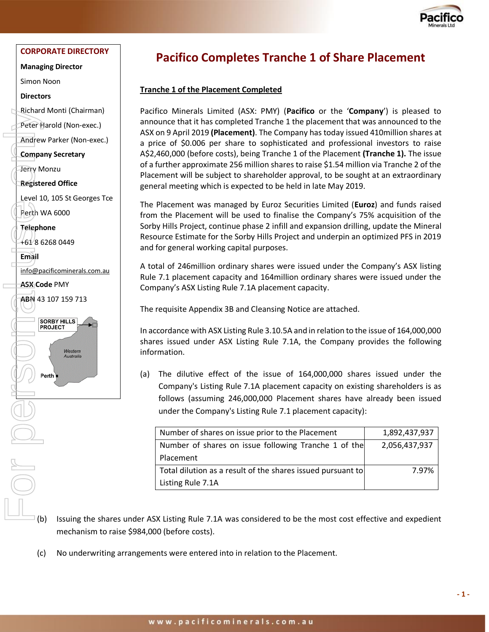

#### **CORPORATE DIRECTORY**

**Managing Director**

Simon Noon

#### **Directors**

Richard Monti (Chairman)

Peter Harold (Non-exec.)

Andrew Parker (Non-exec.)

#### **Company Secretary**

Jerry Monzu

**Registered Office**

Level 10, 105 St Georges Tce Perth WA 6000

**Telephone**

+61 8 6268 0449

**Email** 

[info@pacificominerals.com.au](mailto:info@pacificominerals.com.au)

**ASX Code** PMY



## **Pacifico Completes Tranche 1 of Share Placement**

#### **Tranche 1 of the Placement Completed**

Pacifico Minerals Limited (ASX: PMY) (**Pacifico** or the '**Company**') is pleased to announce that it has completed Tranche 1 the placement that was announced to the ASX on 9 April 2019 **(Placement)**. The Company has today issued 410million shares at a price of \$0.006 per share to sophisticated and professional investors to raise A\$2,460,000 (before costs), being Tranche 1 of the Placement **(Tranche 1).** The issue of a further approximate 256 million shares to raise \$1.54 million via Tranche 2 of the Placement will be subject to shareholder approval, to be sought at an extraordinary general meeting which is expected to be held in late May 2019.

The Placement was managed by Euroz Securities Limited (**Euroz**) and funds raised from the Placement will be used to finalise the Company's 75% acquisition of the Sorby Hills Project, continue phase 2 infill and expansion drilling, update the Mineral Resource Estimate for the Sorby Hills Project and underpin an optimized PFS in 2019 and for general working capital purposes.

A total of 246million ordinary shares were issued under the Company's ASX listing Rule 7.1 placement capacity and 164million ordinary shares were issued under the Company's ASX Listing Rule 7.1A placement capacity.

The requisite Appendix 3B and Cleansing Notice are attached.

In accordance with ASX Listing Rule 3.10.5A and in relation to the issue of 164,000,000 shares issued under ASX Listing Rule 7.1A, the Company provides the following information.

(a) The dilutive effect of the issue of 164,000,000 shares issued under the Company's Listing Rule 7.1A placement capacity on existing shareholders is as follows (assuming 246,000,000 Placement shares have already been issued under the Company's Listing Rule 7.1 placement capacity):

| Number of shares on issue prior to the Placement            | 1,892,437,937 |
|-------------------------------------------------------------|---------------|
| Number of shares on issue following Tranche 1 of the        | 2,056,437,937 |
| Placement                                                   |               |
| Total dilution as a result of the shares issued pursuant to | 7.97%         |
| Listing Rule 7.1A                                           |               |

- $\overline{I}$  (b) Issuing the shares under ASX Listing Rule 7.1A was considered to be the most cost effective and expedient mechanism to raise \$984,000 (before costs).
- (c) No underwriting arrangements were entered into in relation to the Placement.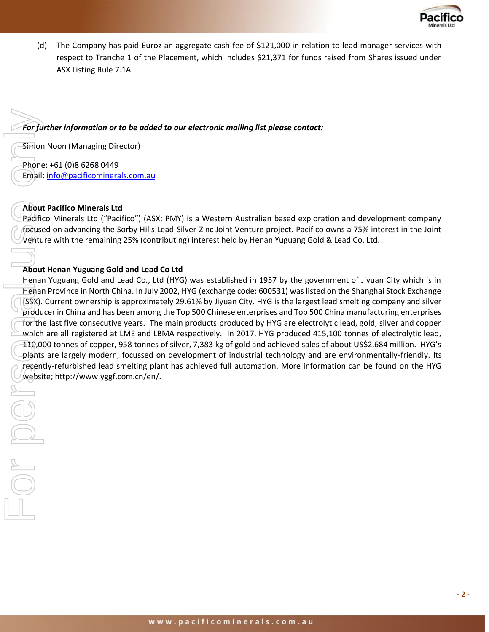

(d) The Company has paid Euroz an aggregate cash fee of \$121,000 in relation to lead manager services with respect to Tranche 1 of the Placement, which includes \$21,371 for funds raised from Shares issued under ASX Listing Rule 7.1A.

*For further information or to be added to our electronic mailing list please contact:* 

Simon Noon (Managing Director)

Phone: +61 (0)8 6268 0449 Email: [info@pacificominerals.com.au](mailto:info@pacificominerals.com.au)

#### **About Pacifico Minerals Ltd**

Pacifico Minerals Ltd ("Pacifico") (ASX: PMY) is a Western Australian based exploration and development company focused on advancing the Sorby Hills Lead-Silver-Zinc Joint Venture project. Pacifico owns a 75% interest in the Joint Venture with the remaining 25% (contributing) interest held by Henan Yuguang Gold & Lead Co. Ltd.

### **About Henan Yuguang Gold and Lead Co Ltd**

Henan Yuguang Gold and Lead Co., Ltd (HYG) was established in 1957 by the government of Jiyuan City which is in Henan Province in North China. In July 2002, HYG (exchange code: 600531) was listed on the Shanghai Stock Exchange (SSX). Current ownership is approximately 29.61% by Jiyuan City. HYG is the largest lead smelting company and silver producer in China and has been among the Top 500 Chinese enterprises and Top 500 China manufacturing enterprises for the last five consecutive years. The main products produced by HYG are electrolytic lead, gold, silver and copper which are all registered at LME and LBMA respectively. In 2017, HYG produced 415,100 tonnes of electrolytic lead, 110,000 tonnes of copper, 958 tonnes of silver, 7,383 kg of gold and achieved sales of about US\$2,684 million. HYG's plants are largely modern, focussed on development of industrial technology and are environmentally-friendly. Its recently-refurbished lead smelting plant has achieved full automation. More information can be found on the HYG For further information or to be added<br>
Simon Noon (Managing Director)<br>
Phone: +61 (0)8 6268 0449<br>
Email: <u>info@pacificominerals.com.au</u><br> **About Pacifico Minerals Ltd**<br>
Pacifico Minerals Ltd ("Pacifico") (ASX:<br> *focused* o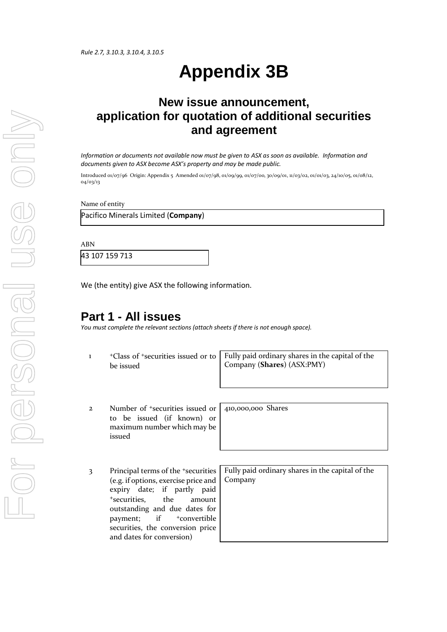# **Appendix 3B**

# **New issue announcement, application for quotation of additional securities and agreement**

*Information or documents not available now must be given to ASX as soon as available. Information and documents given to ASX become ASX's property and may be made public.*

Introduced 01/07/96 Origin: Appendix 5 Amended 01/07/98, 01/09/99, 01/07/00, 30/09/01, 11/03/02, 01/01/03, 24/10/05, 01/08/12, 04/03/13

Name of entity

Pacifico Minerals Limited (**Company**)

ABN

43 107 159 713

We (the entity) give ASX the following information.

## **Part 1 - All issues**

*You must complete the relevant sections (attach sheets if there is not enough space).*

1 <sup>+</sup>Class of +securities issued or to be issued

Fully paid ordinary shares in the capital of the Company (**Shares**) (ASX:PMY)

2 Number of <sup>+</sup>securities issued or to be issued (if known) or maximum number which may be issued

410,000,000 Shares

3 Principal terms of the +securities (e.g. if options, exercise price and expiry date; if partly paid <sup>+</sup>securities, the amount outstanding and due dates for payment; if  $+$ convertible securities, the conversion price and dates for conversion)

Fully paid ordinary shares in the capital of the Company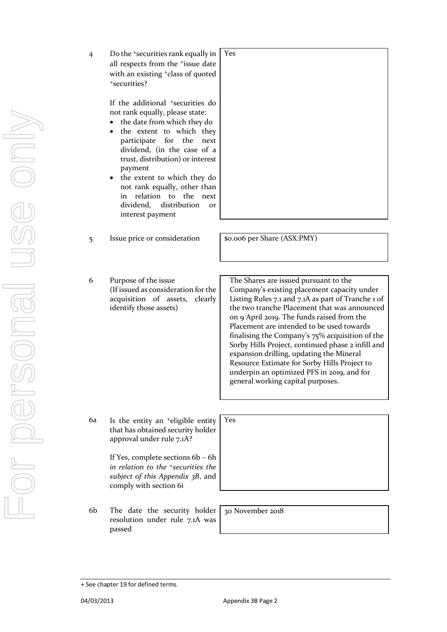- For personal use only USS ONN
- 4 Do the +securities rank equally in all respects from the <sup>+</sup>issue date with an existing +class of quoted <sup>+</sup>securities? Yes

If the additional +securities do not rank equally, please state:

- the date from which they do
- the extent to which they participate for the next dividend, (in the case of a trust, distribution) or interest payment
- the extent to which they do not rank equally, other than in relation to the next dividend, distribution or interest payment
- 5 Issue price or consideration | \$0.006 per Share (ASX:PMY)

6 Purpose of the issue (If issued as consideration for the acquisition of assets, clearly identify those assets)

The Shares are issued pursuant to the Company's existing placement capacity under Listing Rules 7.1 and 7.1A as part of Tranche 1 of the two tranche Placement that was announced on 9 April 2019. The funds raised from the Placement are intended to be used towards finalising the Company's 75% acquisition of the Sorby Hills Project, continued phase 2 infill and expansion drilling, updating the Mineral Resource Estimate for Sorby Hills Project to underpin an optimized PFS in 2019, and for general working capital purposes.

6a Is the entity an +eligible entity that has obtained security holder approval under rule 7.1A?

> If Yes, complete sections 6b – 6h *in relation to the +securities the subject of this Appendix 3B*, and comply with section 6i

6b The date the security holder resolution under rule 7.1A was passed

| 30 November 2018 |  |
|------------------|--|

Yes

<sup>+</sup> See chapter 19 for defined terms.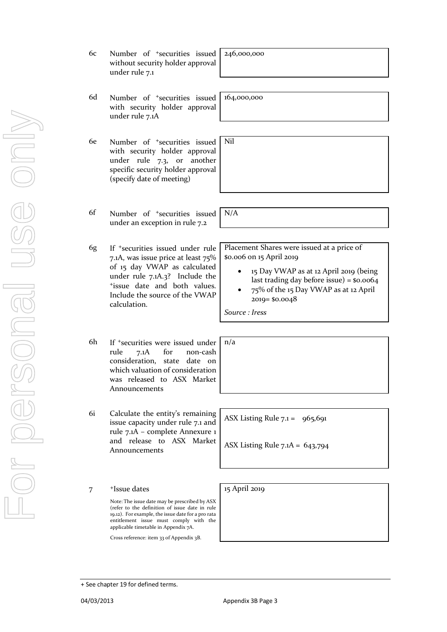- For personal use only VISS ONN
- 6c Number of +securities issued without security holder approval under rule 7.1
- 6d Number of +securities issued with security holder approval under rule 7.1A
- 6e Number of +securities issued with security holder approval under rule 7.3, or another specific security holder approval (specify date of meeting)
- 6f Number of +securities issued under an exception in rule 7.2
- 6g If +securities issued under rule 7.1A, was issue price at least 75% of 15 day VWAP as calculated under rule 7.1A.3? Include the <sup>+</sup>issue date and both values. Include the source of the VWAP calculation.
- 6h If +securities were issued under rule 7.1A for non-cash consideration, state date on which valuation of consideration was released to ASX Market Announcements
- 6i Calculate the entity's remaining issue capacity under rule 7.1 and rule 7.1A – complete Annexure 1 and release to ASX Market Announcements

7 +Issue dates

+ See chapter 19 for defined terms.

Note: The issue date may be prescribed by ASX (refer to the definition of issue date in rule 19.12). For example, the issue date for a pro rata entitlement issue must comply with the applicable timetable in Appendix 7A.

Cross reference: item 33 of Appendix 3B.

246,000,000

164,000,000

Nil

N/A

Placement Shares were issued at a price of \$0.006 on 15 April 2019

- 15 Day VWAP as at 12 April 2019 (being last trading day before issue) = \$0.0064
- 75% of the 15 Day VWAP as at 12 April 2019= \$0.0048

*Source : Iress*

n/a

ASX Listing Rule  $7.1 = 965,691$ 

ASX Listing Rule 7.1A = 643,794

15 April 2019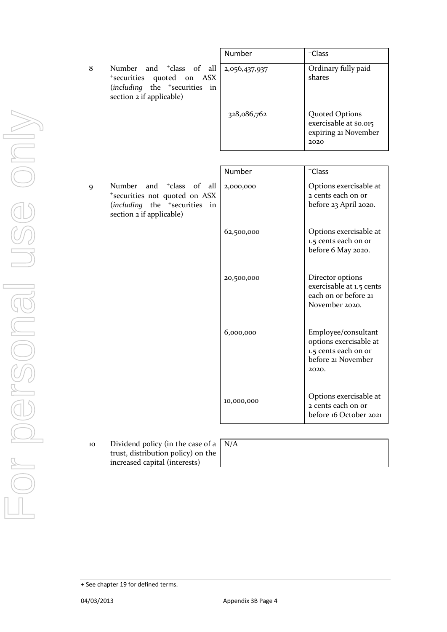8 Number and <sup>+</sup>class of all <sup>+</sup>securities quoted on ASX (*including* the <sup>+</sup>securities in section 2 if applicable)

| Number        | <sup>+</sup> Class                                                              |
|---------------|---------------------------------------------------------------------------------|
| 2,056,437,937 | Ordinary fully paid<br>shares                                                   |
| 328,086,762   | <b>Quoted Options</b><br>exercisable at \$0.015<br>expiring 21 November<br>2020 |

9 Number and <sup>+</sup>class of all <sup>+</sup>securities not quoted on ASX (*including* the <sup>+</sup>securities in section 2 if applicable)

| Number     | <sup>+</sup> Class                                                                                   |
|------------|------------------------------------------------------------------------------------------------------|
| 2,000,000  | Options exercisable at<br>2 cents each on or<br>before 23 April 2020.                                |
| 62,500,000 | Options exercisable at<br>1.5 cents each on or<br>before 6 May 2020.                                 |
| 20,500,000 | Director options<br>exercisable at 1.5 cents<br>each on or before 21<br>November 2020.               |
| 6,000,000  | Employee/consultant<br>options exercisable at<br>1.5 cents each on or<br>before 21 November<br>2020. |
| 10,000,000 | Options exercisable at<br>2 cents each on or<br>before 16 October 2021                               |

10 Dividend policy (in the case of a trust, distribution policy) on the increased capital (interests)

| N/A |  |  |  |
|-----|--|--|--|
|     |  |  |  |

<sup>+</sup> See chapter 19 for defined terms.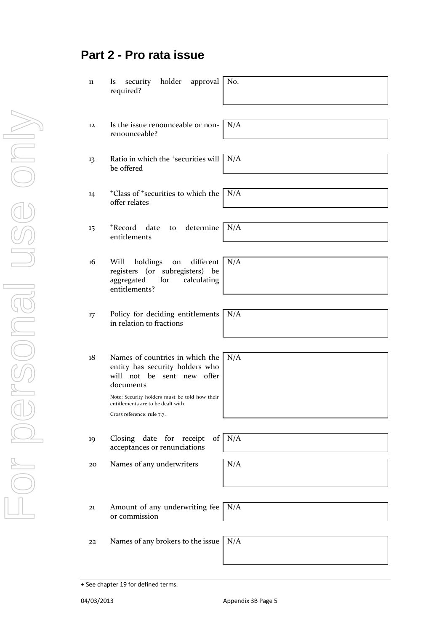## **Part 2 - Pro rata issue**

- 11 Is security holder approval required?
- 12 Is the issue renounceable or nonrenounceable?
- 13 Ratio in which the <sup>+</sup>securities will be offered
- <sup>+</sup>Class of <sup>+</sup>securities to which the offer relates
- 15 <sup>+</sup>Record date to determine entitlements
- 16 Will holdings on different registers (or subregisters) be aggregated for calculating entitlements?
- 17 Policy for deciding entitlements in relation to fractions
- 18 Names of countries in which the entity has security holders who will not be sent new offer documents

Note: Security holders must be told how their entitlements are to be dealt with.

Cross reference: rule 7.7.

19 Closing date for receipt of acceptances or renunciations

20 Names of any underwriters

| N/A |  |  |
|-----|--|--|
|     |  |  |
|     |  |  |

21 Amount of any underwriting fee or commission

22 Names of any brokers to the issue  $N/A$ 

No.

N/A

N/A

N/A

N/A

N/A

N/A

N/A

N/A

N/A

<sup>+</sup> See chapter 19 for defined terms.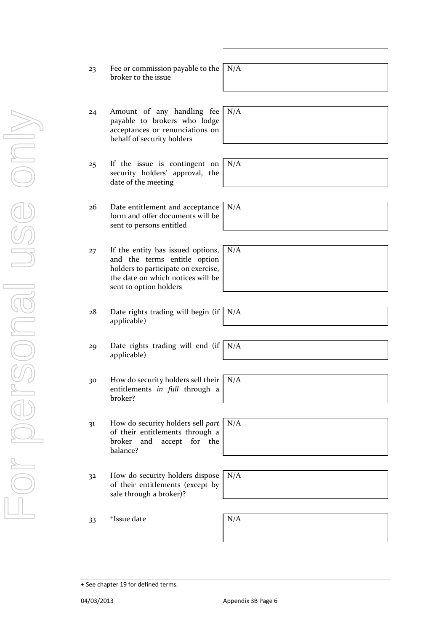- 24 Amount of any handling fee payable to brokers who lodge acceptances or renunciations on behalf of security holders N/A security holders' approval, the date of the meeting N/A 26 Date entitlement and acceptance form and offer documents will be sent to persons entitled N/A and the terms entitle option holders to participate on exercise, the date on which notices will be sent to option holders N/A applicable) N/A applicable) N/A
- 30 How do security holders sell their entitlements *in full* through a broker?
- 31 How do security holders sell *part* of their entitlements through a broker and accept for the balance?
- 32 How do security holders dispose of their entitlements (except by sale through a broker)?

33 <sup>+</sup>  $\blacksquare$ Issue date  $N/A$ 

+ See chapter 19 for defined terms.

| broker to the issue |                                                       |
|---------------------|-------------------------------------------------------|
|                     | Fee or commission payable to the $\sqrt{\frac{N}{A}}$ |

- 25 If the issue is contingent on
- 27 If the entity has issued options,
- 28 Date rights trading will begin (if
- 29 Date rights trading will end (if
	- N/A

N/A

N/A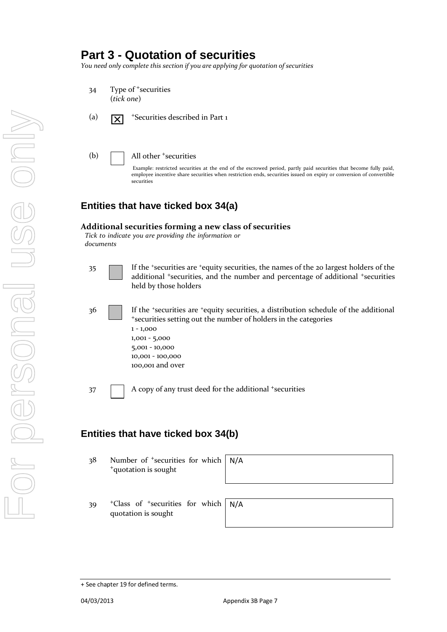## **Part 3 - Quotation of securities**

*You need only complete this section if you are applying for quotation of securities*

- 34 Type of <sup>+</sup>securities (*tick one*)
- (a)  $\overline{X}$  +Securities described in Part 1
- (b) All other <sup>+</sup>securities

Example: restricted securities at the end of the escrowed period, partly paid securities that become fully paid, employee incentive share securities when restriction ends, securities issued on expiry or conversion of convertible securities

## **Entities that have ticked box 34(a)**

#### **Additional securities forming a new class of securities**

*Tick to indicate you are providing the information or documents*

- 35 If the <sup>+</sup>securities are <sup>+</sup>equity securities, the names of the 20 largest holders of the additional <sup>+</sup>securities, and the number and percentage of additional <sup>+</sup>securities held by those holders
- 36 **I** If the <sup>+</sup>securities are <sup>+</sup>equity securities, a distribution schedule of the additional <sup>+</sup>securities setting out the number of holders in the categories 1 - 1,000 1,001 - 5,000 5,001 - 10,000 10,001 - 100,000 100,001 and over
- 37 A copy of any trust deed for the additional +securities

## **Entities that have ticked box 34(b)**

38 Number of <sup>+</sup>securities for which <sup>+</sup>quotation is sought

| N/A |  |  |  |
|-----|--|--|--|
|     |  |  |  |
|     |  |  |  |

39 <sup>+</sup>Class of <sup>+</sup>securities for wh quotation is sought

| hich   N/A |  |
|------------|--|
|            |  |

<sup>+</sup> See chapter 19 for defined terms.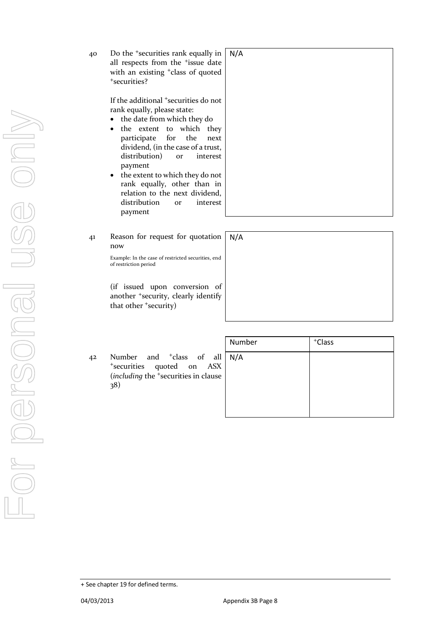| 40 | Do the <sup>+</sup> securities rank equally in<br>all respects from the <sup>+</sup> issue date<br>with an existing <sup>+</sup> class of quoted<br>*securities?                                                                                                         | N/A |
|----|--------------------------------------------------------------------------------------------------------------------------------------------------------------------------------------------------------------------------------------------------------------------------|-----|
|    | If the additional <sup>+</sup> securities do not<br>rank equally, please state:<br>• the date from which they do<br>• the extent to which they<br>participate for the<br>next<br>dividend, (in the case of a trust,<br>distribution)<br>interest<br><b>Or</b><br>payment |     |
|    | the extent to which they do not<br>$\bullet$<br>rank equally other than in                                                                                                                                                                                               |     |

- rank equally, other than in relation to the next dividend, distribution or interest payment
- 41 Reason for request for quotation now N/A

Example: In the case of restricted securities, end of restriction period

(if issued upon conversion of another <sup>+</sup>security, clearly identify that other <sup>+</sup>security)

42 Number and <sup>+</sup>class of all <sup>+</sup>securities quoted on ASX (*including* the <sup>+</sup>securities in clause 38)

| Number | <sup>+</sup> Class |  |
|--------|--------------------|--|
| N/A    |                    |  |
|        |                    |  |
|        |                    |  |
|        |                    |  |

<sup>+</sup> See chapter 19 for defined terms.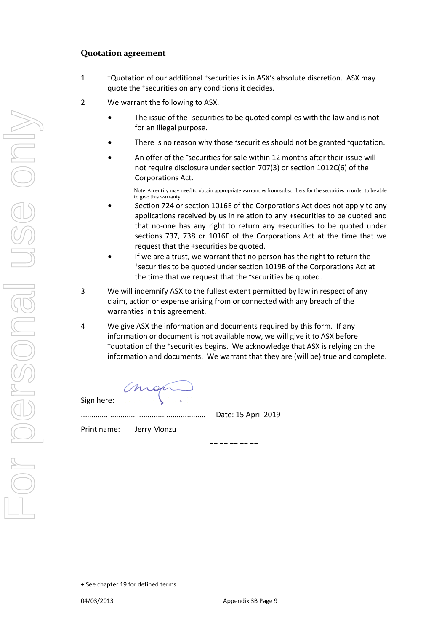#### **Quotation agreement**

- 1 <sup>+</sup>Quotation of our additional <sup>+</sup>securities is in ASX's absolute discretion. ASX may quote the <sup>+</sup>securities on any conditions it decides.
- 2 We warrant the following to ASX.
	- The issue of the \*securities to be quoted complies with the law and is not for an illegal purpose.
	- There is no reason why those +securities should not be granted +quotation.
	- An offer of the *\*securities for sale within* 12 months after their issue will not require disclosure under section 707(3) or section 1012C(6) of the Corporations Act.

Note: An entity may need to obtain appropriate warranties from subscribers for the securities in order to be able to give this warranty

- Section 724 or section 1016E of the Corporations Act does not apply to any applications received by us in relation to any +securities to be quoted and that no-one has any right to return any +securities to be quoted under sections 737, 738 or 1016F of the Corporations Act at the time that we request that the +securities be quoted.
- If we are a trust, we warrant that no person has the right to return the <sup>+</sup>securities to be quoted under section 1019B of the Corporations Act at the time that we request that the \*securities be quoted.
- 3 We will indemnify ASX to the fullest extent permitted by law in respect of any claim, action or expense arising from or connected with any breach of the warranties in this agreement.
- 4 We give ASX the information and documents required by this form. If any information or document is not available now, we will give it to ASX before <sup>+</sup>quotation of the <sup>+</sup>securities begins. We acknowledge that ASX is relying on the information and documents. We warrant that they are (will be) true and complete.

Sign here:

............................................................ Date: 15 April 2019

Print name: Jerry Monzu

== == == == ==

<sup>+</sup> See chapter 19 for defined terms.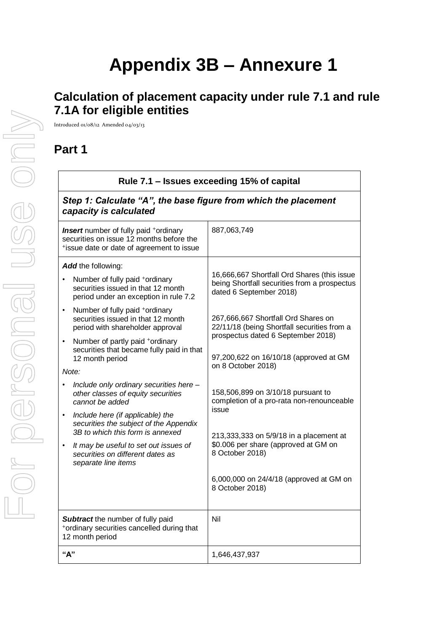# **Appendix 3B – Annexure 1**

# **Calculation of placement capacity under rule 7.1 and rule 7.1A for eligible entities**

Introduced 01/08/12 Amended 04/03/13

# **Part 1**

|                                                                                                                                                                                                                                                                                                                                                                                       | Rule 7.1 – Issues exceeding 15% of capital                                                         |                                                                                                                                                                                                                                                    |  |  |  |
|---------------------------------------------------------------------------------------------------------------------------------------------------------------------------------------------------------------------------------------------------------------------------------------------------------------------------------------------------------------------------------------|----------------------------------------------------------------------------------------------------|----------------------------------------------------------------------------------------------------------------------------------------------------------------------------------------------------------------------------------------------------|--|--|--|
|                                                                                                                                                                                                                                                                                                                                                                                       | Step 1: Calculate "A", the base figure from which the placement<br>capacity is calculated          |                                                                                                                                                                                                                                                    |  |  |  |
| <b>Insert</b> number of fully paid +ordinary<br>securities on issue 12 months before the<br>*issue date or date of agreement to issue                                                                                                                                                                                                                                                 |                                                                                                    | 887,063,749                                                                                                                                                                                                                                        |  |  |  |
| Add the following:<br>Number of fully paid +ordinary<br>securities issued in that 12 month<br>period under an exception in rule 7.2<br>Number of fully paid +ordinary<br>$\bullet$<br>securities issued in that 12 month<br>period with shareholder approval<br>Number of partly paid +ordinary<br>$\bullet$<br>securities that became fully paid in that<br>12 month period<br>Note: |                                                                                                    | 16,666,667 Shortfall Ord Shares (this issue<br>being Shortfall securities from a prospectus<br>dated 6 September 2018)<br>267,666,667 Shortfall Ord Shares on<br>22/11/18 (being Shortfall securities from a<br>prospectus dated 6 September 2018) |  |  |  |
|                                                                                                                                                                                                                                                                                                                                                                                       |                                                                                                    | 97,200,622 on 16/10/18 (approved at GM<br>on 8 October 2018)                                                                                                                                                                                       |  |  |  |
| Include only ordinary securities here -<br>other classes of equity securities<br>cannot be added<br>Include here (if applicable) the<br>$\bullet$<br>securities the subject of the Appendix<br>3B to which this form is annexed<br>It may be useful to set out issues of<br>$\bullet$<br>securities on different dates as<br>separate line items                                      |                                                                                                    | 158,506,899 on 3/10/18 pursuant to<br>completion of a pro-rata non-renounceable<br>issue                                                                                                                                                           |  |  |  |
|                                                                                                                                                                                                                                                                                                                                                                                       |                                                                                                    | 213,333,333 on 5/9/18 in a placement at<br>\$0.006 per share (approved at GM on<br>8 October 2018)<br>6,000,000 on 24/4/18 (approved at GM on<br>8 October 2018)                                                                                   |  |  |  |
|                                                                                                                                                                                                                                                                                                                                                                                       | Subtract the number of fully paid<br>*ordinary securities cancelled during that<br>12 month period | Nil                                                                                                                                                                                                                                                |  |  |  |
| "А"                                                                                                                                                                                                                                                                                                                                                                                   |                                                                                                    | 1,646,437,937                                                                                                                                                                                                                                      |  |  |  |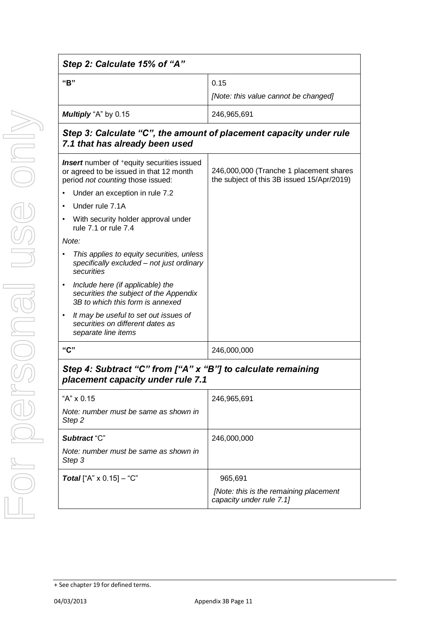| "B"                                                                                                                                           | 0.15                                                                                  |
|-----------------------------------------------------------------------------------------------------------------------------------------------|---------------------------------------------------------------------------------------|
|                                                                                                                                               | [Note: this value cannot be changed]                                                  |
| Multiply "A" by 0.15                                                                                                                          | 246,965,691                                                                           |
| Step 3: Calculate "C", the amount of placement capacity under rule<br>7.1 that has already been used                                          |                                                                                       |
| <b>Insert</b> number of <sup>+</sup> equity securities issued<br>or agreed to be issued in that 12 month<br>period not counting those issued: | 246,000,000 (Tranche 1 placement shares<br>the subject of this 3B issued 15/Apr/2019) |
| Under an exception in rule 7.2                                                                                                                |                                                                                       |
| Under rule 7.1A                                                                                                                               |                                                                                       |
| With security holder approval under<br>rule 7.1 or rule 7.4                                                                                   |                                                                                       |
| Note:                                                                                                                                         |                                                                                       |
| This applies to equity securities, unless<br>specifically excluded - not just ordinary<br>securities                                          |                                                                                       |
| Include here (if applicable) the<br>$\bullet$<br>securities the subject of the Appendix<br>3B to which this form is annexed                   |                                                                                       |
| It may be useful to set out issues of<br>$\bullet$<br>securities on different dates as<br>separate line items                                 |                                                                                       |
| "C"                                                                                                                                           | 246,000,000                                                                           |
| Step 4: Subtract "C" from ["A" x "B"] to calculate remaining<br>placement capacity under rule 7.1                                             |                                                                                       |
| "A" x 0.15                                                                                                                                    | 246,965,691                                                                           |
| Note: number must be same as shown in<br>Step <sub>2</sub>                                                                                    |                                                                                       |
| Subtract "C"                                                                                                                                  | 246,000,000                                                                           |
| Note: number must be same as shown in<br>Step 3                                                                                               |                                                                                       |
| <b>Total</b> ["A" $\times$ 0.15] - "C"                                                                                                        | 965,691                                                                               |
|                                                                                                                                               | [Note: this is the remaining placement<br>capacity under rule 7.1]                    |

<sup>+</sup> See chapter 19 for defined terms.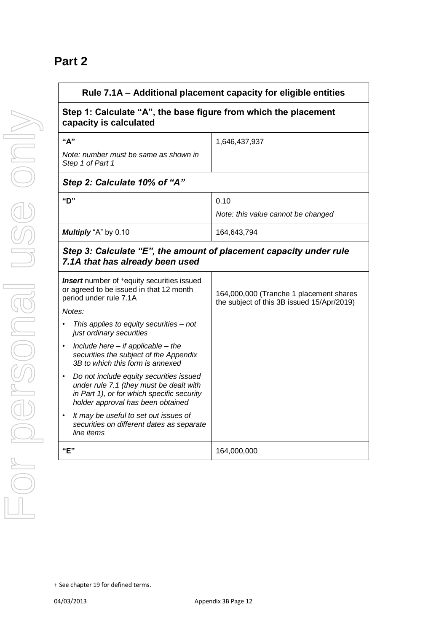# **Part 2**

| Rule 7.1A - Additional placement capacity for eligible entities                                                                                                                    |                                                                                       |
|------------------------------------------------------------------------------------------------------------------------------------------------------------------------------------|---------------------------------------------------------------------------------------|
| Step 1: Calculate "A", the base figure from which the placement<br>capacity is calculated                                                                                          |                                                                                       |
| "А"                                                                                                                                                                                | 1,646,437,937                                                                         |
| Note: number must be same as shown in<br>Step 1 of Part 1                                                                                                                          |                                                                                       |
| Step 2: Calculate 10% of "A"                                                                                                                                                       |                                                                                       |
| "D"                                                                                                                                                                                | 0.10                                                                                  |
|                                                                                                                                                                                    | Note: this value cannot be changed                                                    |
| Multiply "A" by 0.10                                                                                                                                                               | 164,643,794                                                                           |
| Step 3: Calculate "E", the amount of placement capacity under rule<br>7.1A that has already been used                                                                              |                                                                                       |
| <b>Insert</b> number of <sup>+</sup> equity securities issued<br>or agreed to be issued in that 12 month<br>period under rule 7.1A<br>Notes:                                       | 164,000,000 (Tranche 1 placement shares<br>the subject of this 3B issued 15/Apr/2019) |
| This applies to equity securities - not<br>just ordinary securities                                                                                                                |                                                                                       |
| Include here $-$ if applicable $-$ the<br>$\bullet$<br>securities the subject of the Appendix<br>3B to which this form is annexed                                                  |                                                                                       |
| Do not include equity securities issued<br>$\bullet$<br>under rule 7.1 (they must be dealt with<br>in Part 1), or for which specific security<br>holder approval has been obtained |                                                                                       |
| It may be useful to set out issues of<br>٠<br>securities on different dates as separate<br>line items                                                                              |                                                                                       |
| "E"                                                                                                                                                                                | 164,000,000                                                                           |

<sup>+</sup> See chapter 19 for defined terms.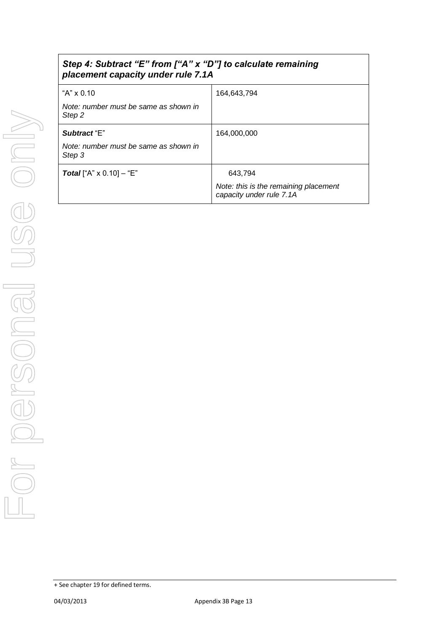| Step 4: Subtract "E" from ["A" x "D"] to calculate remaining<br>placement capacity under rule 7.1A |                                                                              |
|----------------------------------------------------------------------------------------------------|------------------------------------------------------------------------------|
| "A" $\times$ 0.10<br>Note: number must be same as shown in<br>Step 2                               | 164.643.794                                                                  |
| Subtract "E"<br>Note: number must be same as shown in<br>Step 3                                    | 164,000,000                                                                  |
| <b>Total</b> ["A" $\times$ 0.10] – "E"                                                             | 643,794<br>Note: this is the remaining placement<br>capacity under rule 7.1A |

<sup>+</sup> See chapter 19 for defined terms.